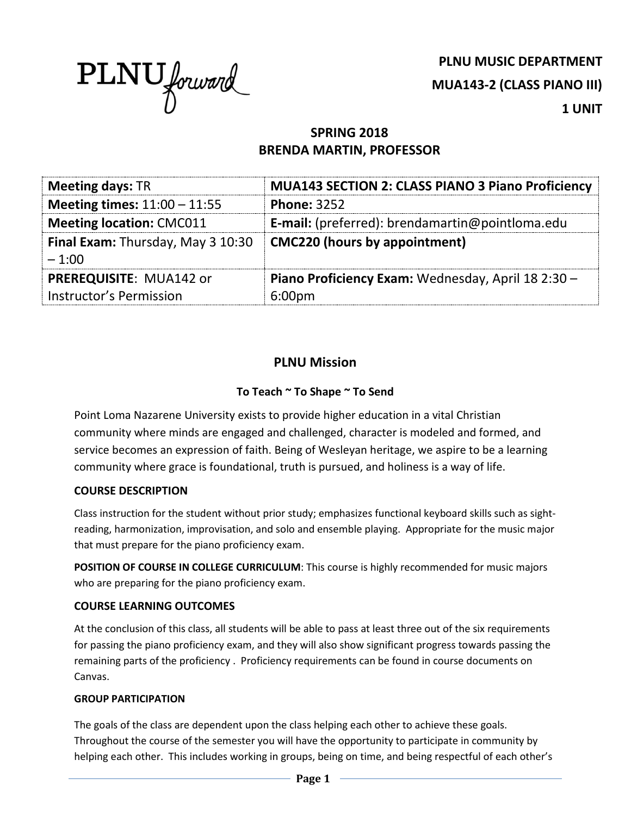

**PLNU MUSIC DEPARTMENT MUA143-2 (CLASS PIANO III) 1 UNIT**

# **SPRING 2018 BRENDA MARTIN, PROFESSOR**

| <b>Meeting days: TR</b>                  | <b>MUA143 SECTION 2: CLASS PIANO 3 Piano Proficiency</b> |  |
|------------------------------------------|----------------------------------------------------------|--|
| Meeting times: $11:00 - 11:55$           | <b>Phone: 3252</b>                                       |  |
| <b>Meeting location: CMC011</b>          | <b>E-mail:</b> (preferred): brendamartin@pointloma.edu   |  |
| <b>Final Exam:</b> Thursday, May 3 10:30 | <b>CMC220 (hours by appointment)</b>                     |  |
| $-1:00$                                  |                                                          |  |
| PREREQUISITE: MUA142 or                  | Piano Proficiency Exam: Wednesday, April 18 2:30 -       |  |
| Instructor's Permission                  | 6:00 <sub>pm</sub>                                       |  |

# **PLNU Mission**

## **To Teach ~ To Shape ~ To Send**

Point Loma Nazarene University exists to provide higher education in a vital Christian community where minds are engaged and challenged, character is modeled and formed, and service becomes an expression of faith. Being of Wesleyan heritage, we aspire to be a learning community where grace is foundational, truth is pursued, and holiness is a way of life.

## **COURSE DESCRIPTION**

Class instruction for the student without prior study; emphasizes functional keyboard skills such as sightreading, harmonization, improvisation, and solo and ensemble playing. Appropriate for the music major that must prepare for the piano proficiency exam.

**POSITION OF COURSE IN COLLEGE CURRICULUM**: This course is highly recommended for music majors who are preparing for the piano proficiency exam.

## **COURSE LEARNING OUTCOMES**

At the conclusion of this class, all students will be able to pass at least three out of the six requirements for passing the piano proficiency exam, and they will also show significant progress towards passing the remaining parts of the proficiency . Proficiency requirements can be found in course documents on Canvas.

#### **GROUP PARTICIPATION**

The goals of the class are dependent upon the class helping each other to achieve these goals. Throughout the course of the semester you will have the opportunity to participate in community by helping each other. This includes working in groups, being on time, and being respectful of each other's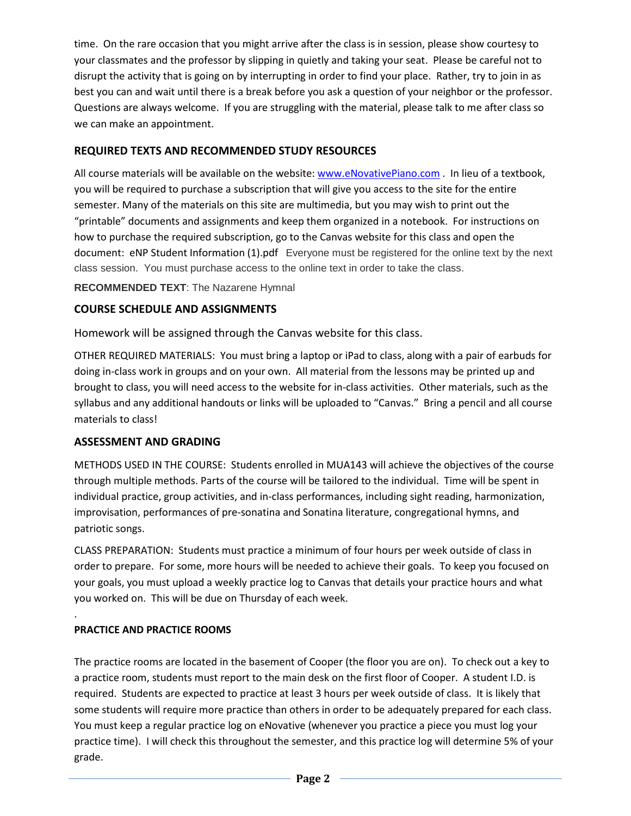time. On the rare occasion that you might arrive after the class is in session, please show courtesy to your classmates and the professor by slipping in quietly and taking your seat. Please be careful not to disrupt the activity that is going on by interrupting in order to find your place. Rather, try to join in as best you can and wait until there is a break before you ask a question of your neighbor or the professor. Questions are always welcome. If you are struggling with the material, please talk to me after class so we can make an appointment.

### **REQUIRED TEXTS AND RECOMMENDED STUDY RESOURCES**

All course materials will be available on the website: [www.eNovativePiano.com](http://www.enovativepiano.com/) . In lieu of a textbook, you will be required to purchase a subscription that will give you access to the site for the entire semester. Many of the materials on this site are multimedia, but you may wish to print out the "printable" documents and assignments and keep them organized in a notebook. For instructions on how to purchase the required subscription, go to the Canvas website for this class and open the document: eNP Student Information (1).pdf Everyone must be registered for the online text by the next class session. You must purchase access to the online text in order to take the class.

**RECOMMENDED TEXT**: The Nazarene Hymnal

#### **COURSE SCHEDULE AND ASSIGNMENTS**

Homework will be assigned through the Canvas website for this class.

OTHER REQUIRED MATERIALS: You must bring a laptop or iPad to class, along with a pair of earbuds for doing in-class work in groups and on your own. All material from the lessons may be printed up and brought to class, you will need access to the website for in-class activities. Other materials, such as the syllabus and any additional handouts or links will be uploaded to "Canvas." Bring a pencil and all course materials to class!

#### **ASSESSMENT AND GRADING**

METHODS USED IN THE COURSE: Students enrolled in MUA143 will achieve the objectives of the course through multiple methods. Parts of the course will be tailored to the individual. Time will be spent in individual practice, group activities, and in-class performances, including sight reading, harmonization, improvisation, performances of pre-sonatina and Sonatina literature, congregational hymns, and patriotic songs.

CLASS PREPARATION: Students must practice a minimum of four hours per week outside of class in order to prepare. For some, more hours will be needed to achieve their goals. To keep you focused on your goals, you must upload a weekly practice log to Canvas that details your practice hours and what you worked on. This will be due on Thursday of each week.

## **PRACTICE AND PRACTICE ROOMS**

.

The practice rooms are located in the basement of Cooper (the floor you are on). To check out a key to a practice room, students must report to the main desk on the first floor of Cooper. A student I.D. is required. Students are expected to practice at least 3 hours per week outside of class. It is likely that some students will require more practice than others in order to be adequately prepared for each class. You must keep a regular practice log on eNovative (whenever you practice a piece you must log your practice time). I will check this throughout the semester, and this practice log will determine 5% of your grade.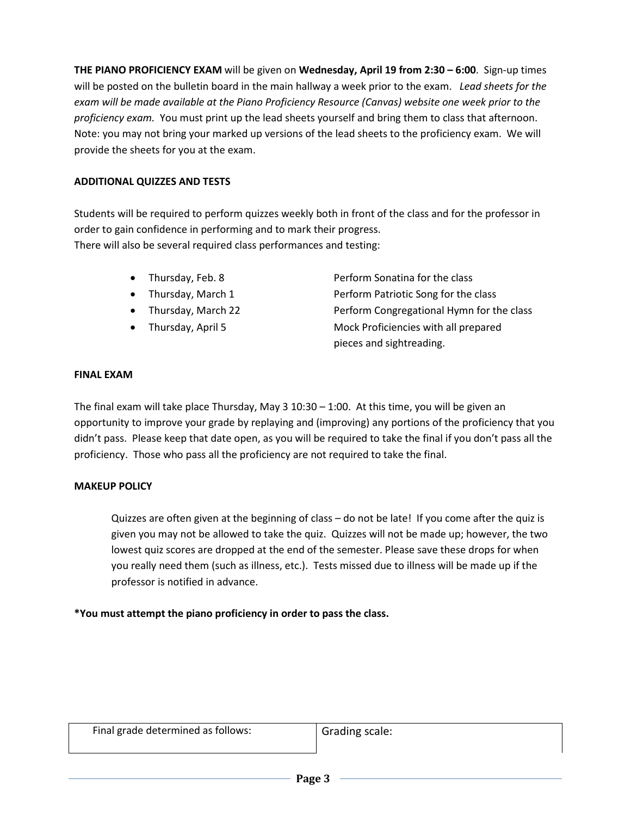**THE PIANO PROFICIENCY EXAM** will be given on **Wednesday, April 19 from 2:30 – 6:00**. Sign-up times will be posted on the bulletin board in the main hallway a week prior to the exam. *Lead sheets for the exam will be made available at the Piano Proficiency Resource (Canvas) website one week prior to the proficiency exam.* You must print up the lead sheets yourself and bring them to class that afternoon. Note: you may not bring your marked up versions of the lead sheets to the proficiency exam. We will provide the sheets for you at the exam.

#### **ADDITIONAL QUIZZES AND TESTS**

Students will be required to perform quizzes weekly both in front of the class and for the professor in order to gain confidence in performing and to mark their progress. There will also be several required class performances and testing:

- 
- 
- 
- 

• Thursday, Feb. 8 Perform Sonatina for the class • Thursday, March 1 Perform Patriotic Song for the class • Thursday, March 22 Perform Congregational Hymn for the class • Thursday, April 5 Mock Proficiencies with all prepared pieces and sightreading.

#### **FINAL EXAM**

The final exam will take place Thursday, May  $3\ 10:30 - 1:00$ . At this time, you will be given an opportunity to improve your grade by replaying and (improving) any portions of the proficiency that you didn't pass. Please keep that date open, as you will be required to take the final if you don't pass all the proficiency. Those who pass all the proficiency are not required to take the final.

#### **MAKEUP POLICY**

Quizzes are often given at the beginning of class – do not be late! If you come after the quiz is given you may not be allowed to take the quiz. Quizzes will not be made up; however, the two lowest quiz scores are dropped at the end of the semester. Please save these drops for when you really need them (such as illness, etc.). Tests missed due to illness will be made up if the professor is notified in advance.

#### **\*You must attempt the piano proficiency in order to pass the class.**

| Final grade determined as follows: | Grading scale: |
|------------------------------------|----------------|
|                                    |                |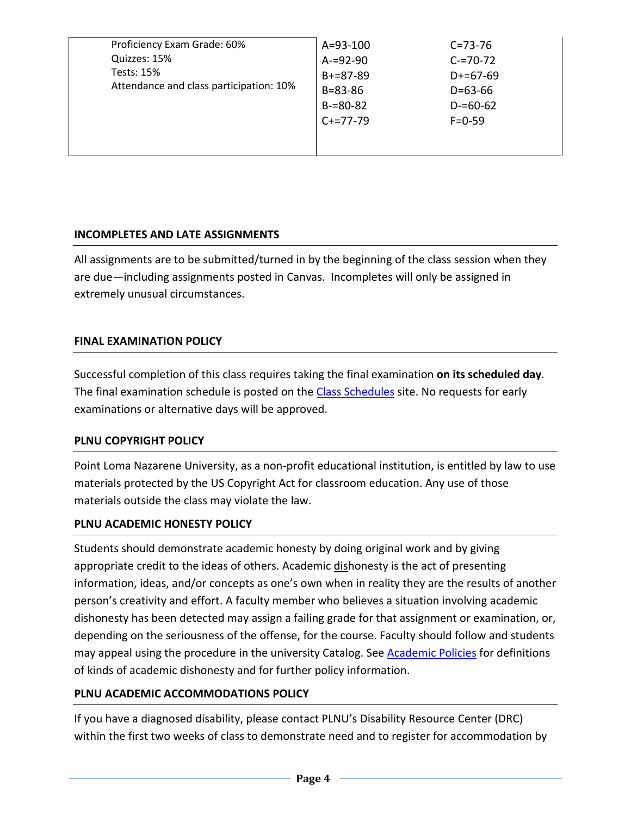| $B = 83 - 86$<br>$D = 63 - 66$<br>$B = 80 - 82$<br>$D = 60 - 62$<br>$C+=77-79$<br>$F = 0 - 59$ | Proficiency Exam Grade: 60%<br>Quizzes: 15%<br><b>Tests: 15%</b><br>Attendance and class participation: 10% | A=93-100<br>$A = 92 - 90$<br>$B+=87-89$ | $C = 73 - 76$<br>$C = 70 - 72$<br>$D+=67-69$ |
|------------------------------------------------------------------------------------------------|-------------------------------------------------------------------------------------------------------------|-----------------------------------------|----------------------------------------------|
|------------------------------------------------------------------------------------------------|-------------------------------------------------------------------------------------------------------------|-----------------------------------------|----------------------------------------------|

## **INCOMPLETES AND LATE ASSIGNMENTS**

All assignments are to be submitted/turned in by the beginning of the class session when they are due—including assignments posted in Canvas. Incompletes will only be assigned in extremely unusual circumstances.

## **FINAL EXAMINATION POLICY**

Successful completion of this class requires taking the final examination **on its scheduled day**. The final examination schedule is posted on the [Class Schedules](http://www.pointloma.edu/experience/academics/class-schedules) site. No requests for early examinations or alternative days will be approved.

## **PLNU COPYRIGHT POLICY**

Point Loma Nazarene University, as a non-profit educational institution, is entitled by law to use materials protected by the US Copyright Act for classroom education. Any use of those materials outside the class may violate the law.

## **PLNU ACADEMIC HONESTY POLICY**

Students should demonstrate academic honesty by doing original work and by giving appropriate credit to the ideas of others. Academic dishonesty is the act of presenting information, ideas, and/or concepts as one's own when in reality they are the results of another person's creativity and effort. A faculty member who believes a situation involving academic dishonesty has been detected may assign a failing grade for that assignment or examination, or, depending on the seriousness of the offense, for the course. Faculty should follow and students may appeal using the procedure in the university Catalog. Se[e Academic Policies](http://catalog.pointloma.edu/content.php?catoid=18&navoid=1278) for definitions of kinds of academic dishonesty and for further policy information.

## **PLNU ACADEMIC ACCOMMODATIONS POLICY**

If you have a diagnosed disability, please contact PLNU's Disability Resource Center (DRC) within the first two weeks of class to demonstrate need and to register for accommodation by